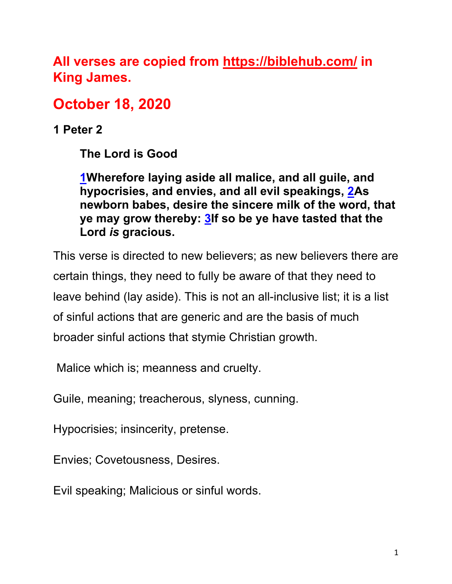**All verses are copied from https://biblehub.com/ in King James.** 

# **October 18, 2020**

**1 Peter 2**

**The Lord is Good**

**1Wherefore laying aside all malice, and all guile, and hypocrisies, and envies, and all evil speakings, 2As newborn babes, desire the sincere milk of the word, that ye may grow thereby: 3If so be ye have tasted that the Lord** *is* **gracious.**

This verse is directed to new believers; as new believers there are certain things, they need to fully be aware of that they need to leave behind (lay aside). This is not an all-inclusive list; it is a list of sinful actions that are generic and are the basis of much broader sinful actions that stymie Christian growth.

Malice which is; meanness and cruelty.

Guile, meaning; treacherous, slyness, cunning.

Hypocrisies; insincerity, pretense.

Envies; Covetousness, Desires.

Evil speaking; Malicious or sinful words.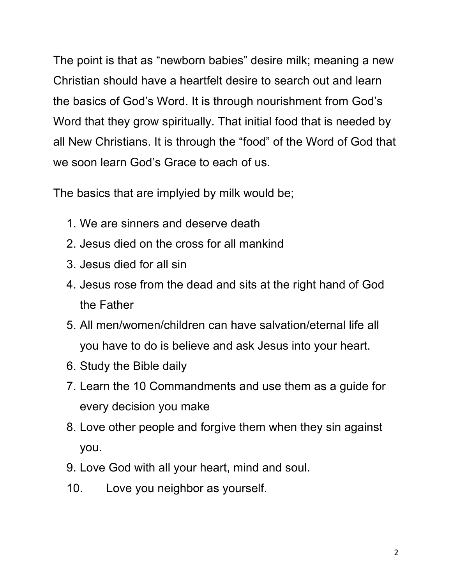The point is that as "newborn babies" desire milk; meaning a new Christian should have a heartfelt desire to search out and learn the basics of God's Word. It is through nourishment from God's Word that they grow spiritually. That initial food that is needed by all New Christians. It is through the "food" of the Word of God that we soon learn God's Grace to each of us.

The basics that are implyied by milk would be;

- 1. We are sinners and deserve death
- 2. Jesus died on the cross for all mankind
- 3. Jesus died for all sin
- 4. Jesus rose from the dead and sits at the right hand of God the Father
- 5. All men/women/children can have salvation/eternal life all you have to do is believe and ask Jesus into your heart.
- 6. Study the Bible daily
- 7. Learn the 10 Commandments and use them as a guide for every decision you make
- 8. Love other people and forgive them when they sin against you.
- 9. Love God with all your heart, mind and soul.
- 10. Love you neighbor as yourself.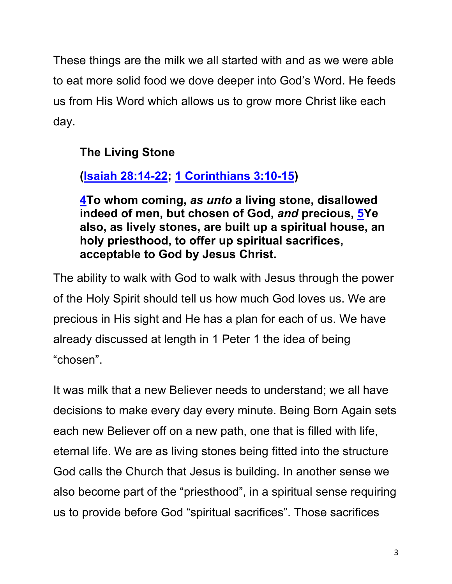These things are the milk we all started with and as we were able to eat more solid food we dove deeper into God's Word. He feeds us from His Word which allows us to grow more Christ like each day.

## **The Living Stone**

## **(Isaiah 28:14-22; 1 Corinthians 3:10-15)**

**4To whom coming,** *as unto* **a living stone, disallowed indeed of men, but chosen of God,** *and* **precious, 5Ye also, as lively stones, are built up a spiritual house, an holy priesthood, to offer up spiritual sacrifices, acceptable to God by Jesus Christ.**

The ability to walk with God to walk with Jesus through the power of the Holy Spirit should tell us how much God loves us. We are precious in His sight and He has a plan for each of us. We have already discussed at length in 1 Peter 1 the idea of being "chosen".

It was milk that a new Believer needs to understand; we all have decisions to make every day every minute. Being Born Again sets each new Believer off on a new path, one that is filled with life, eternal life. We are as living stones being fitted into the structure God calls the Church that Jesus is building. In another sense we also become part of the "priesthood", in a spiritual sense requiring us to provide before God "spiritual sacrifices". Those sacrifices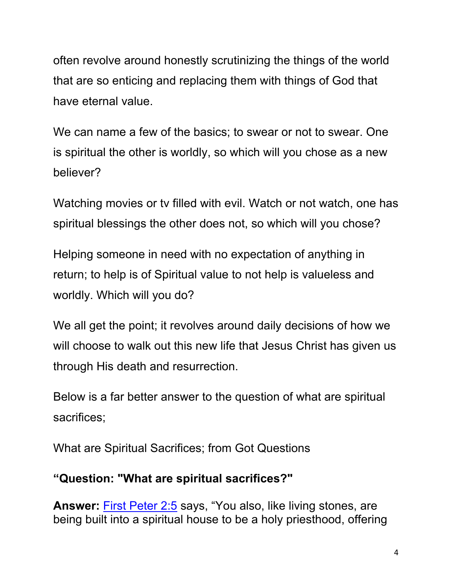often revolve around honestly scrutinizing the things of the world that are so enticing and replacing them with things of God that have eternal value.

We can name a few of the basics; to swear or not to swear. One is spiritual the other is worldly, so which will you chose as a new believer?

Watching movies or tv filled with evil. Watch or not watch, one has spiritual blessings the other does not, so which will you chose?

Helping someone in need with no expectation of anything in return; to help is of Spiritual value to not help is valueless and worldly. Which will you do?

We all get the point; it revolves around daily decisions of how we will choose to walk out this new life that Jesus Christ has given us through His death and resurrection.

Below is a far better answer to the question of what are spiritual sacrifices;

What are Spiritual Sacrifices; from Got Questions

### **"Question: "What are spiritual sacrifices?"**

**Answer:** First Peter 2:5 says, "You also, like living stones, are being built into a spiritual house to be a holy priesthood, offering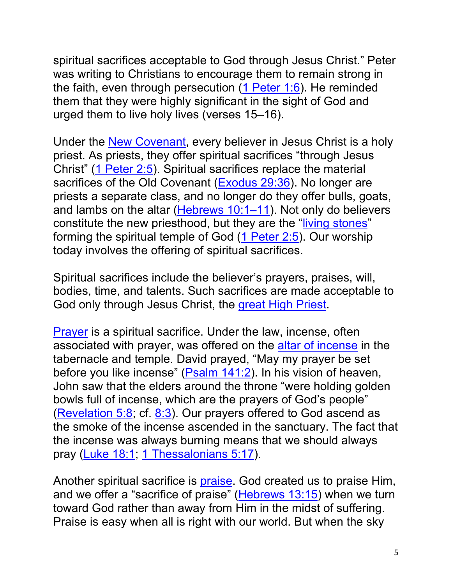spiritual sacrifices acceptable to God through Jesus Christ." Peter was writing to Christians to encourage them to remain strong in the faith, even through persecution (1 Peter 1:6). He reminded them that they were highly significant in the sight of God and urged them to live holy lives (verses 15–16).

Under the New Covenant, every believer in Jesus Christ is a holy priest. As priests, they offer spiritual sacrifices "through Jesus Christ" (1 Peter 2:5). Spiritual sacrifices replace the material sacrifices of the Old Covenant (Exodus 29:36). No longer are priests a separate class, and no longer do they offer bulls, goats, and lambs on the altar (Hebrews 10:1–11). Not only do believers constitute the new priesthood, but they are the "living stones" forming the spiritual temple of God (1 Peter 2:5). Our worship today involves the offering of spiritual sacrifices.

Spiritual sacrifices include the believer's prayers, praises, will, bodies, time, and talents. Such sacrifices are made acceptable to God only through Jesus Christ, the great High Priest.

Prayer is a spiritual sacrifice. Under the law, incense, often associated with prayer, was offered on the altar of incense in the tabernacle and temple. David prayed, "May my prayer be set before you like incense" (Psalm 141:2). In his vision of heaven, John saw that the elders around the throne "were holding golden bowls full of incense, which are the prayers of God's people" (Revelation 5:8; cf. 8:3). Our prayers offered to God ascend as the smoke of the incense ascended in the sanctuary. The fact that the incense was always burning means that we should always pray (Luke 18:1; 1 Thessalonians 5:17).

Another spiritual sacrifice is praise. God created us to praise Him, and we offer a "sacrifice of praise" (Hebrews 13:15) when we turn toward God rather than away from Him in the midst of suffering. Praise is easy when all is right with our world. But when the sky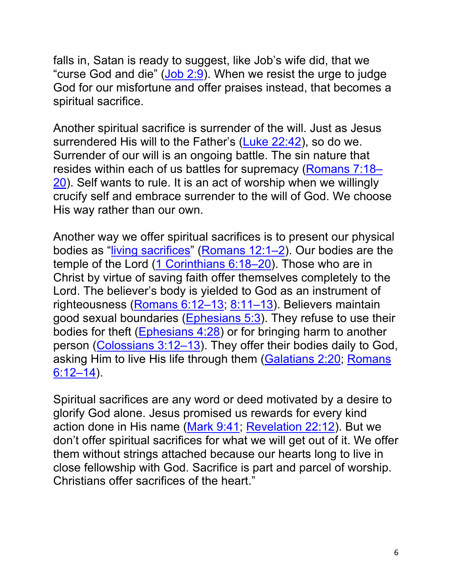falls in, Satan is ready to suggest, like Job's wife did, that we "curse God and die" (Job 2:9). When we resist the urge to judge God for our misfortune and offer praises instead, that becomes a spiritual sacrifice.

Another spiritual sacrifice is surrender of the will. Just as Jesus surrendered His will to the Father's (Luke 22:42), so do we. Surrender of our will is an ongoing battle. The sin nature that resides within each of us battles for supremacy (Romans 7:18– 20). Self wants to rule. It is an act of worship when we willingly crucify self and embrace surrender to the will of God. We choose His way rather than our own.

Another way we offer spiritual sacrifices is to present our physical bodies as "living sacrifices" (Romans 12:1-2). Our bodies are the temple of the Lord (1 Corinthians 6:18–20). Those who are in Christ by virtue of saving faith offer themselves completely to the Lord. The believer's body is yielded to God as an instrument of righteousness (Romans 6:12-13; 8:11-13). Believers maintain good sexual boundaries (Ephesians 5:3). They refuse to use their bodies for theft (Ephesians 4:28) or for bringing harm to another person (Colossians 3:12–13). They offer their bodies daily to God, asking Him to live His life through them (Galatians 2:20; Romans 6:12–14).

Spiritual sacrifices are any word or deed motivated by a desire to glorify God alone. Jesus promised us rewards for every kind action done in His name (Mark 9:41; Revelation 22:12). But we don't offer spiritual sacrifices for what we will get out of it. We offer them without strings attached because our hearts long to live in close fellowship with God. Sacrifice is part and parcel of worship. Christians offer sacrifices of the heart."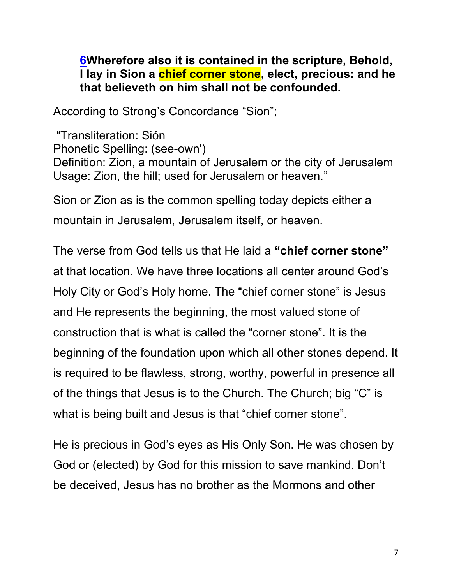#### **6Wherefore also it is contained in the scripture, Behold, I lay in Sion a chief corner stone, elect, precious: and he that believeth on him shall not be confounded.**

According to Strong's Concordance "Sion";

"Transliteration: Sión Phonetic Spelling: (see-own') Definition: Zion, a mountain of Jerusalem or the city of Jerusalem Usage: Zion, the hill; used for Jerusalem or heaven."

Sion or Zion as is the common spelling today depicts either a mountain in Jerusalem, Jerusalem itself, or heaven.

The verse from God tells us that He laid a **"chief corner stone"** at that location. We have three locations all center around God's Holy City or God's Holy home. The "chief corner stone" is Jesus and He represents the beginning, the most valued stone of construction that is what is called the "corner stone". It is the beginning of the foundation upon which all other stones depend. It is required to be flawless, strong, worthy, powerful in presence all of the things that Jesus is to the Church. The Church; big "C" is what is being built and Jesus is that "chief corner stone".

He is precious in God's eyes as His Only Son. He was chosen by God or (elected) by God for this mission to save mankind. Don't be deceived, Jesus has no brother as the Mormons and other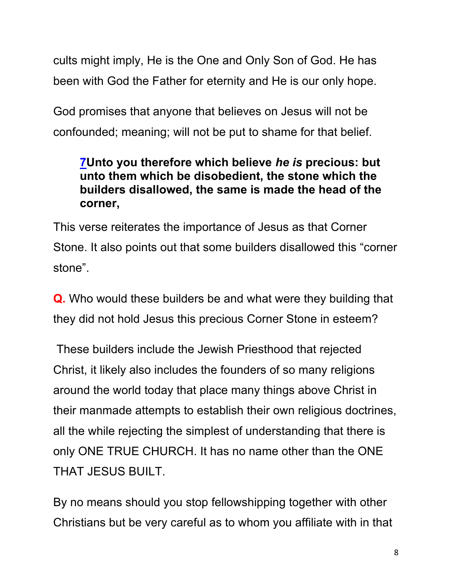cults might imply, He is the One and Only Son of God. He has been with God the Father for eternity and He is our only hope.

God promises that anyone that believes on Jesus will not be confounded; meaning; will not be put to shame for that belief.

## **7Unto you therefore which believe** *he is* **precious: but unto them which be disobedient, the stone which the builders disallowed, the same is made the head of the corner,**

This verse reiterates the importance of Jesus as that Corner Stone. It also points out that some builders disallowed this "corner stone".

**Q.** Who would these builders be and what were they building that they did not hold Jesus this precious Corner Stone in esteem?

These builders include the Jewish Priesthood that rejected Christ, it likely also includes the founders of so many religions around the world today that place many things above Christ in their manmade attempts to establish their own religious doctrines, all the while rejecting the simplest of understanding that there is only ONE TRUE CHURCH. It has no name other than the ONE THAT JESUS BUILT.

By no means should you stop fellowshipping together with other Christians but be very careful as to whom you affiliate with in that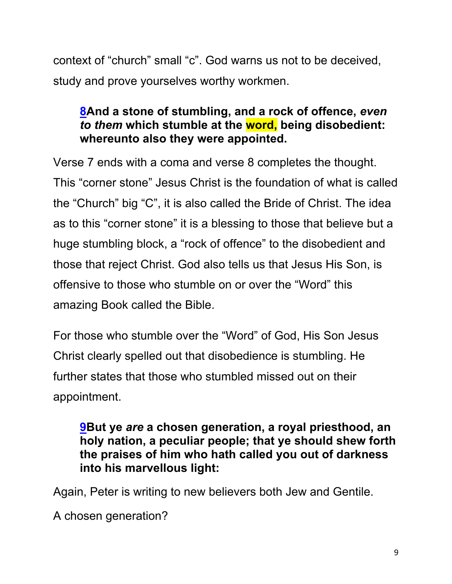context of "church" small "c". God warns us not to be deceived, study and prove yourselves worthy workmen.

## **8And a stone of stumbling, and a rock of offence,** *even to them* **which stumble at the word, being disobedient: whereunto also they were appointed.**

Verse 7 ends with a coma and verse 8 completes the thought. This "corner stone" Jesus Christ is the foundation of what is called the "Church" big "C", it is also called the Bride of Christ. The idea as to this "corner stone" it is a blessing to those that believe but a huge stumbling block, a "rock of offence" to the disobedient and those that reject Christ. God also tells us that Jesus His Son, is offensive to those who stumble on or over the "Word" this amazing Book called the Bible.

For those who stumble over the "Word" of God, His Son Jesus Christ clearly spelled out that disobedience is stumbling. He further states that those who stumbled missed out on their appointment.

#### **9But ye** *are* **a chosen generation, a royal priesthood, an holy nation, a peculiar people; that ye should shew forth the praises of him who hath called you out of darkness into his marvellous light:**

Again, Peter is writing to new believers both Jew and Gentile.

A chosen generation?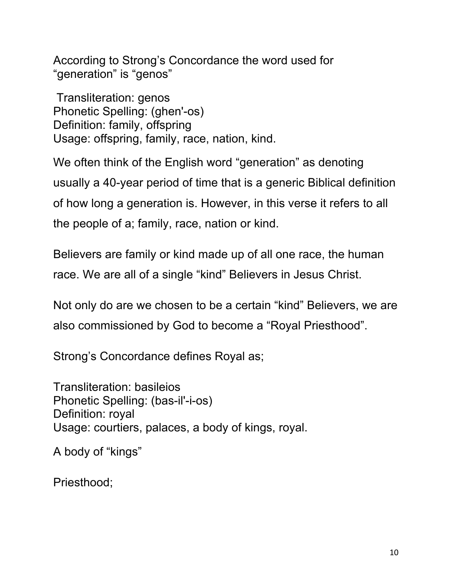According to Strong's Concordance the word used for "generation" is "genos"

Transliteration: genos Phonetic Spelling: (ghen'-os) Definition: family, offspring Usage: offspring, family, race, nation, kind.

We often think of the English word "generation" as denoting usually a 40-year period of time that is a generic Biblical definition of how long a generation is. However, in this verse it refers to all the people of a; family, race, nation or kind.

Believers are family or kind made up of all one race, the human race. We are all of a single "kind" Believers in Jesus Christ.

Not only do are we chosen to be a certain "kind" Believers, we are also commissioned by God to become a "Royal Priesthood".

Strong's Concordance defines Royal as;

Transliteration: basileios Phonetic Spelling: (bas-il'-i-os) Definition: royal Usage: courtiers, palaces, a body of kings, royal.

A body of "kings"

Priesthood;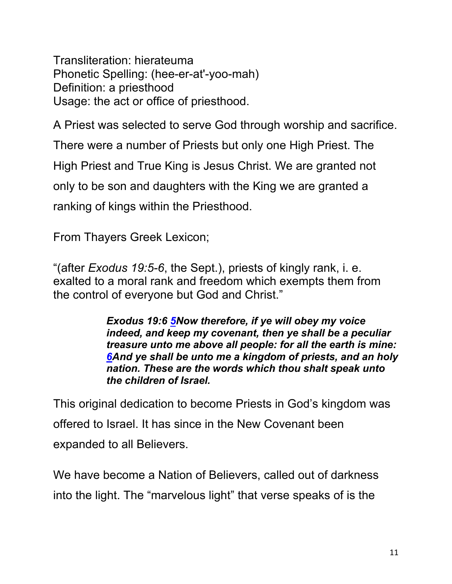Transliteration: hierateuma Phonetic Spelling: (hee-er-at'-yoo-mah) Definition: a priesthood Usage: the act or office of priesthood.

A Priest was selected to serve God through worship and sacrifice. There were a number of Priests but only one High Priest. The High Priest and True King is Jesus Christ. We are granted not only to be son and daughters with the King we are granted a ranking of kings within the Priesthood.

From Thayers Greek Lexicon;

"(after *Exodus 19:5-6*, the Sept.), priests of kingly rank, i. e. exalted to a moral rank and freedom which exempts them from the control of everyone but God and Christ."

> *Exodus 19:6 5Now therefore, if ye will obey my voice indeed, and keep my covenant, then ye shall be a peculiar treasure unto me above all people: for all the earth is mine: 6And ye shall be unto me a kingdom of priests, and an holy nation. These are the words which thou shalt speak unto the children of Israel.*

This original dedication to become Priests in God's kingdom was offered to Israel. It has since in the New Covenant been expanded to all Believers.

We have become a Nation of Believers, called out of darkness into the light. The "marvelous light" that verse speaks of is the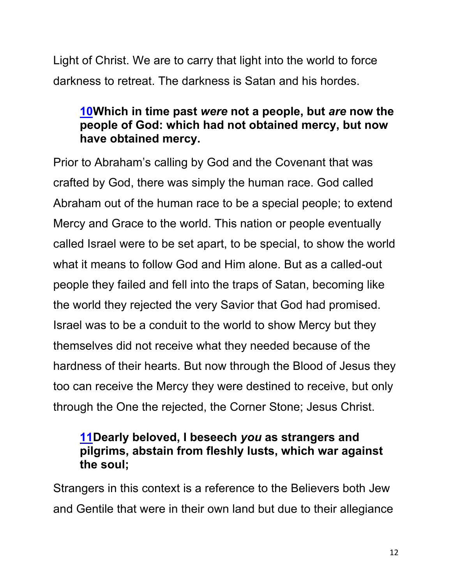Light of Christ. We are to carry that light into the world to force darkness to retreat. The darkness is Satan and his hordes.

## **10Which in time past** *were* **not a people, but** *are* **now the people of God: which had not obtained mercy, but now have obtained mercy.**

Prior to Abraham's calling by God and the Covenant that was crafted by God, there was simply the human race. God called Abraham out of the human race to be a special people; to extend Mercy and Grace to the world. This nation or people eventually called Israel were to be set apart, to be special, to show the world what it means to follow God and Him alone. But as a called-out people they failed and fell into the traps of Satan, becoming like the world they rejected the very Savior that God had promised. Israel was to be a conduit to the world to show Mercy but they themselves did not receive what they needed because of the hardness of their hearts. But now through the Blood of Jesus they too can receive the Mercy they were destined to receive, but only through the One the rejected, the Corner Stone; Jesus Christ.

#### **11Dearly beloved, I beseech** *you* **as strangers and pilgrims, abstain from fleshly lusts, which war against the soul;**

Strangers in this context is a reference to the Believers both Jew and Gentile that were in their own land but due to their allegiance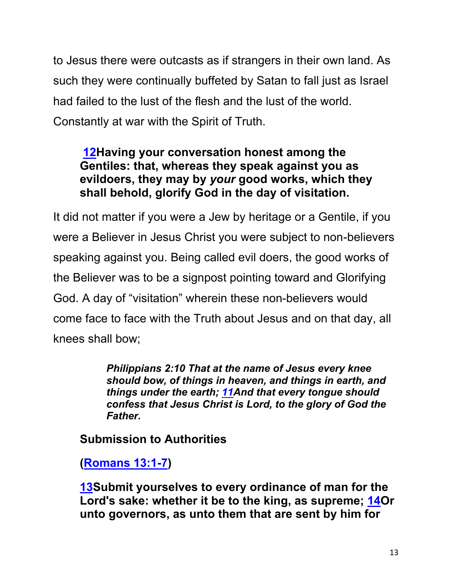to Jesus there were outcasts as if strangers in their own land. As such they were continually buffeted by Satan to fall just as Israel had failed to the lust of the flesh and the lust of the world. Constantly at war with the Spirit of Truth.

## **12Having your conversation honest among the Gentiles: that, whereas they speak against you as evildoers, they may by** *your* **good works, which they shall behold, glorify God in the day of visitation.**

It did not matter if you were a Jew by heritage or a Gentile, if you were a Believer in Jesus Christ you were subject to non-believers speaking against you. Being called evil doers, the good works of the Believer was to be a signpost pointing toward and Glorifying God. A day of "visitation" wherein these non-believers would come face to face with the Truth about Jesus and on that day, all knees shall bow;

> *Philippians 2:10 That at the name of Jesus every knee should bow, of things in heaven, and things in earth, and things under the earth; 11And that every tongue should confess that Jesus Christ is Lord, to the glory of God the Father.*

**Submission to Authorities**

**(Romans 13:1-7)**

**13Submit yourselves to every ordinance of man for the Lord's sake: whether it be to the king, as supreme; 14Or unto governors, as unto them that are sent by him for**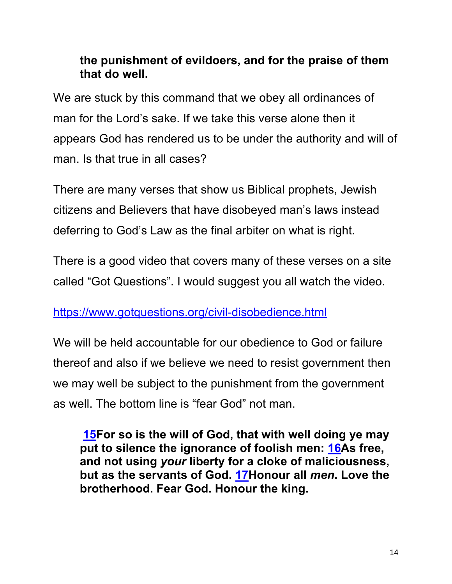### **the punishment of evildoers, and for the praise of them that do well.**

We are stuck by this command that we obey all ordinances of man for the Lord's sake. If we take this verse alone then it appears God has rendered us to be under the authority and will of man. Is that true in all cases?

There are many verses that show us Biblical prophets, Jewish citizens and Believers that have disobeyed man's laws instead deferring to God's Law as the final arbiter on what is right.

There is a good video that covers many of these verses on a site called "Got Questions". I would suggest you all watch the video.

## https://www.gotquestions.org/civil-disobedience.html

We will be held accountable for our obedience to God or failure thereof and also if we believe we need to resist government then we may well be subject to the punishment from the government as well. The bottom line is "fear God" not man.

**15For so is the will of God, that with well doing ye may put to silence the ignorance of foolish men: 16As free, and not using** *your* **liberty for a cloke of maliciousness, but as the servants of God. 17Honour all** *men***. Love the brotherhood. Fear God. Honour the king.**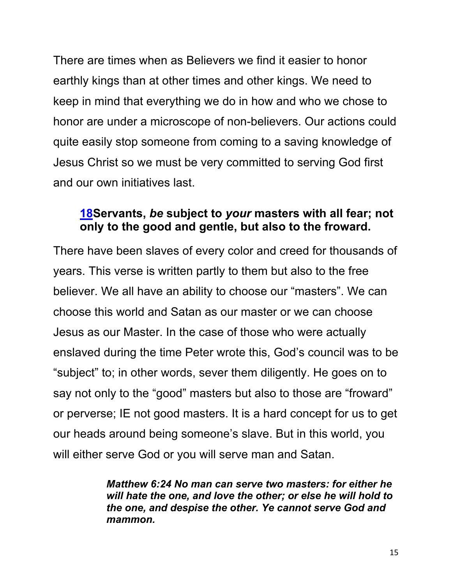There are times when as Believers we find it easier to honor earthly kings than at other times and other kings. We need to keep in mind that everything we do in how and who we chose to honor are under a microscope of non-believers. Our actions could quite easily stop someone from coming to a saving knowledge of Jesus Christ so we must be very committed to serving God first and our own initiatives last.

#### **18Servants,** *be* **subject to** *your* **masters with all fear; not only to the good and gentle, but also to the froward.**

There have been slaves of every color and creed for thousands of years. This verse is written partly to them but also to the free believer. We all have an ability to choose our "masters". We can choose this world and Satan as our master or we can choose Jesus as our Master. In the case of those who were actually enslaved during the time Peter wrote this, God's council was to be "subject" to; in other words, sever them diligently. He goes on to say not only to the "good" masters but also to those are "froward" or perverse; IE not good masters. It is a hard concept for us to get our heads around being someone's slave. But in this world, you will either serve God or you will serve man and Satan.

> *Matthew 6:24 No man can serve two masters: for either he will hate the one, and love the other; or else he will hold to the one, and despise the other. Ye cannot serve God and mammon.*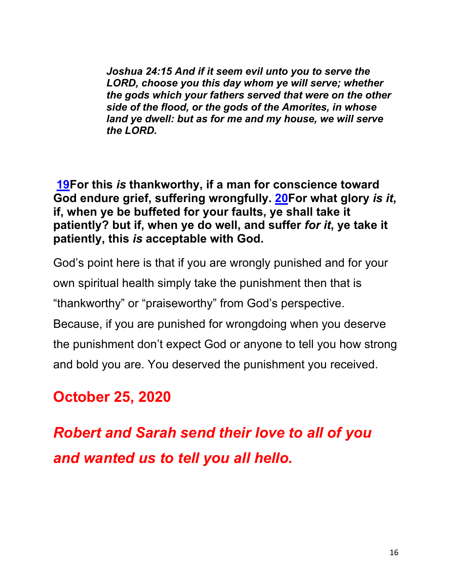*Joshua 24:15 And if it seem evil unto you to serve the LORD, choose you this day whom ye will serve; whether the gods which your fathers served that were on the other side of the flood, or the gods of the Amorites, in whose land ye dwell: but as for me and my house, we will serve the LORD.*

**19For this** *is* **thankworthy, if a man for conscience toward God endure grief, suffering wrongfully. 20For what glory** *is it***, if, when ye be buffeted for your faults, ye shall take it patiently? but if, when ye do well, and suffer** *for it***, ye take it patiently, this** *is* **acceptable with God.**

God's point here is that if you are wrongly punished and for your own spiritual health simply take the punishment then that is "thankworthy" or "praiseworthy" from God's perspective. Because, if you are punished for wrongdoing when you deserve the punishment don't expect God or anyone to tell you how strong and bold you are. You deserved the punishment you received.

# **October 25, 2020**

*Robert and Sarah send their love to all of you and wanted us to tell you all hello.*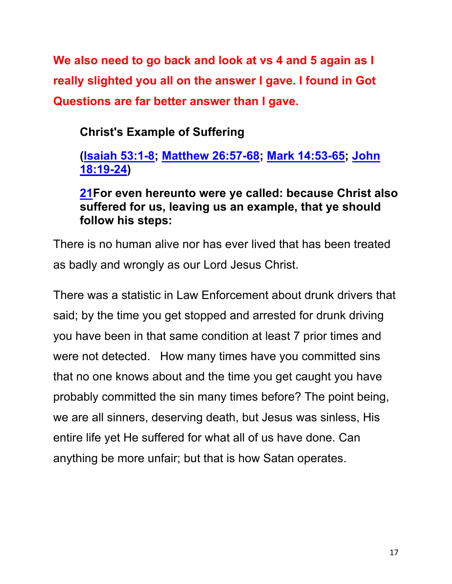**We also need to go back and look at vs 4 and 5 again as I really slighted you all on the answer I gave. I found in Got Questions are far better answer than I gave.**

**Christ's Example of Suffering**

## **(Isaiah 53:1-8; Matthew 26:57-68; Mark 14:53-65; John 18:19-24)**

### **21For even hereunto were ye called: because Christ also suffered for us, leaving us an example, that ye should follow his steps:**

There is no human alive nor has ever lived that has been treated as badly and wrongly as our Lord Jesus Christ.

There was a statistic in Law Enforcement about drunk drivers that said; by the time you get stopped and arrested for drunk driving you have been in that same condition at least 7 prior times and were not detected. How many times have you committed sins that no one knows about and the time you get caught you have probably committed the sin many times before? The point being, we are all sinners, deserving death, but Jesus was sinless, His entire life yet He suffered for what all of us have done. Can anything be more unfair; but that is how Satan operates.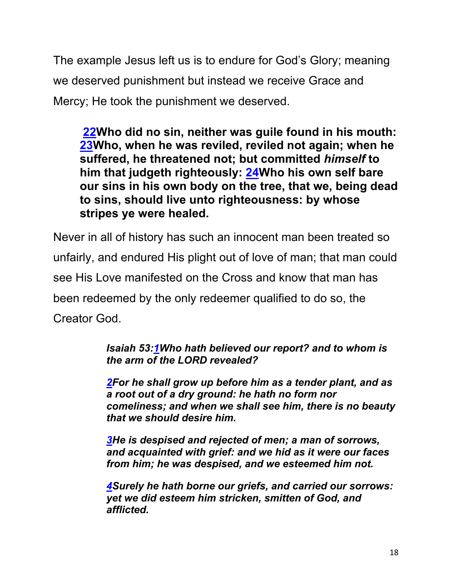The example Jesus left us is to endure for God's Glory; meaning we deserved punishment but instead we receive Grace and Mercy; He took the punishment we deserved.

**22Who did no sin, neither was guile found in his mouth: 23Who, when he was reviled, reviled not again; when he suffered, he threatened not; but committed** *himself* **to him that judgeth righteously: 24Who his own self bare our sins in his own body on the tree, that we, being dead to sins, should live unto righteousness: by whose stripes ye were healed.**

Never in all of history has such an innocent man been treated so unfairly, and endured His plight out of love of man; that man could see His Love manifested on the Cross and know that man has been redeemed by the only redeemer qualified to do so, the Creator God.

> *Isaiah 53:1Who hath believed our report? and to whom is the arm of the LORD revealed?*

*2For he shall grow up before him as a tender plant, and as a root out of a dry ground: he hath no form nor comeliness; and when we shall see him, there is no beauty that we should desire him.*

*3He is despised and rejected of men; a man of sorrows, and acquainted with grief: and we hid as it were our faces from him; he was despised, and we esteemed him not.*

*4Surely he hath borne our griefs, and carried our sorrows: yet we did esteem him stricken, smitten of God, and afflicted.*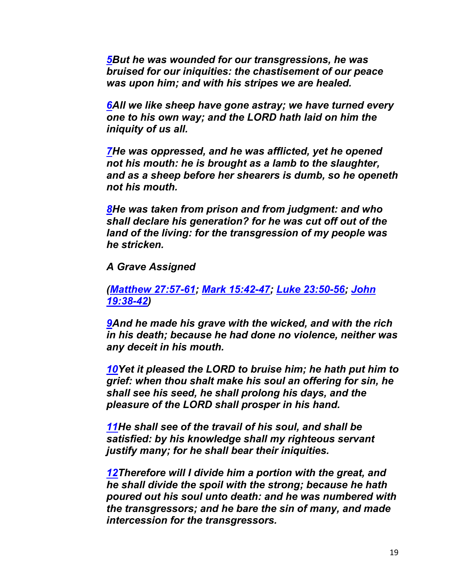*5But he was wounded for our transgressions, he was bruised for our iniquities: the chastisement of our peace was upon him; and with his stripes we are healed.*

*6All we like sheep have gone astray; we have turned every one to his own way; and the LORD hath laid on him the iniquity of us all.*

*7He was oppressed, and he was afflicted, yet he opened not his mouth: he is brought as a lamb to the slaughter, and as a sheep before her shearers is dumb, so he openeth not his mouth.*

*8He was taken from prison and from judgment: and who shall declare his generation? for he was cut off out of the land of the living: for the transgression of my people was he stricken.*

*A Grave Assigned*

*(Matthew 27:57-61; Mark 15:42-47; Luke 23:50-56; John 19:38-42)*

*9And he made his grave with the wicked, and with the rich in his death; because he had done no violence, neither was any deceit in his mouth.*

*10Yet it pleased the LORD to bruise him; he hath put him to grief: when thou shalt make his soul an offering for sin, he shall see his seed, he shall prolong his days, and the pleasure of the LORD shall prosper in his hand.*

*11He shall see of the travail of his soul, and shall be satisfied: by his knowledge shall my righteous servant justify many; for he shall bear their iniquities.*

*12Therefore will I divide him a portion with the great, and he shall divide the spoil with the strong; because he hath poured out his soul unto death: and he was numbered with the transgressors; and he bare the sin of many, and made intercession for the transgressors.*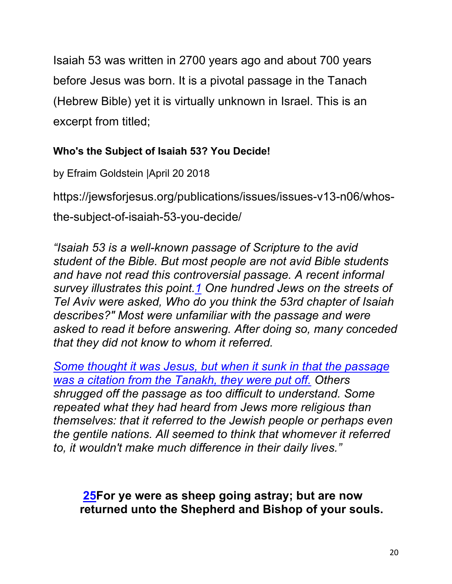Isaiah 53 was written in 2700 years ago and about 700 years before Jesus was born. It is a pivotal passage in the Tanach (Hebrew Bible) yet it is virtually unknown in Israel. This is an excerpt from titled;

#### **Who's the Subject of Isaiah 53? You Decide!**

by Efraim Goldstein |April 20 2018

https://jewsforjesus.org/publications/issues/issues-v13-n06/whos-

the-subject-of-isaiah-53-you-decide/

*"Isaiah 53 is a well-known passage of Scripture to the avid student of the Bible. But most people are not avid Bible students and have not read this controversial passage. A recent informal survey illustrates this point.1 One hundred Jews on the streets of Tel Aviv were asked, Who do you think the 53rd chapter of Isaiah describes?" Most were unfamiliar with the passage and were asked to read it before answering. After doing so, many conceded that they did not know to whom it referred.*

*Some thought it was Jesus, but when it sunk in that the passage was a citation from the Tanakh, they were put off. Others shrugged off the passage as too difficult to understand. Some repeated what they had heard from Jews more religious than themselves: that it referred to the Jewish people or perhaps even the gentile nations. All seemed to think that whomever it referred to, it wouldn't make much difference in their daily lives."*

**25For ye were as sheep going astray; but are now returned unto the Shepherd and Bishop of your souls.**